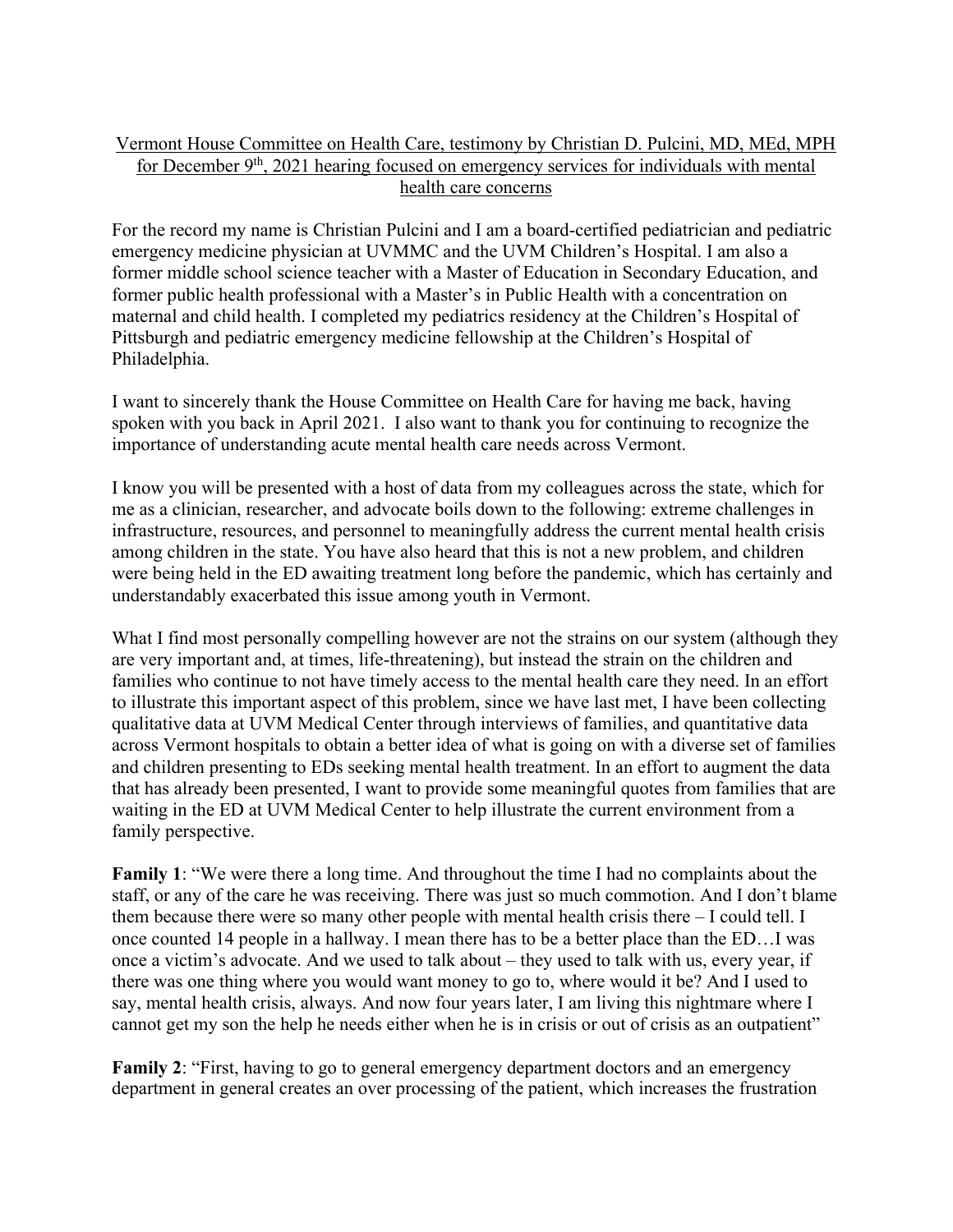## Vermont House Committee on Health Care, testimony by Christian D. Pulcini, MD, MEd, MPH for December  $9<sup>th</sup>$ , 2021 hearing focused on emergency services for individuals with mental health care concerns

For the record my name is Christian Pulcini and I am a board-certified pediatrician and pediatric emergency medicine physician at UVMMC and the UVM Children's Hospital. I am also a former middle school science teacher with a Master of Education in Secondary Education, and former public health professional with a Master's in Public Health with a concentration on maternal and child health. I completed my pediatrics residency at the Children's Hospital of Pittsburgh and pediatric emergency medicine fellowship at the Children's Hospital of Philadelphia.

I want to sincerely thank the House Committee on Health Care for having me back, having spoken with you back in April 2021. I also want to thank you for continuing to recognize the importance of understanding acute mental health care needs across Vermont.

I know you will be presented with a host of data from my colleagues across the state, which for me as a clinician, researcher, and advocate boils down to the following: extreme challenges in infrastructure, resources, and personnel to meaningfully address the current mental health crisis among children in the state. You have also heard that this is not a new problem, and children were being held in the ED awaiting treatment long before the pandemic, which has certainly and understandably exacerbated this issue among youth in Vermont.

What I find most personally compelling however are not the strains on our system (although they are very important and, at times, life-threatening), but instead the strain on the children and families who continue to not have timely access to the mental health care they need. In an effort to illustrate this important aspect of this problem, since we have last met, I have been collecting qualitative data at UVM Medical Center through interviews of families, and quantitative data across Vermont hospitals to obtain a better idea of what is going on with a diverse set of families and children presenting to EDs seeking mental health treatment. In an effort to augment the data that has already been presented, I want to provide some meaningful quotes from families that are waiting in the ED at UVM Medical Center to help illustrate the current environment from a family perspective.

**Family 1**: "We were there a long time. And throughout the time I had no complaints about the staff, or any of the care he was receiving. There was just so much commotion. And I don't blame them because there were so many other people with mental health crisis there – I could tell. I once counted 14 people in a hallway. I mean there has to be a better place than the ED…I was once a victim's advocate. And we used to talk about – they used to talk with us, every year, if there was one thing where you would want money to go to, where would it be? And I used to say, mental health crisis, always. And now four years later, I am living this nightmare where I cannot get my son the help he needs either when he is in crisis or out of crisis as an outpatient"

**Family 2**: "First, having to go to general emergency department doctors and an emergency department in general creates an over processing of the patient, which increases the frustration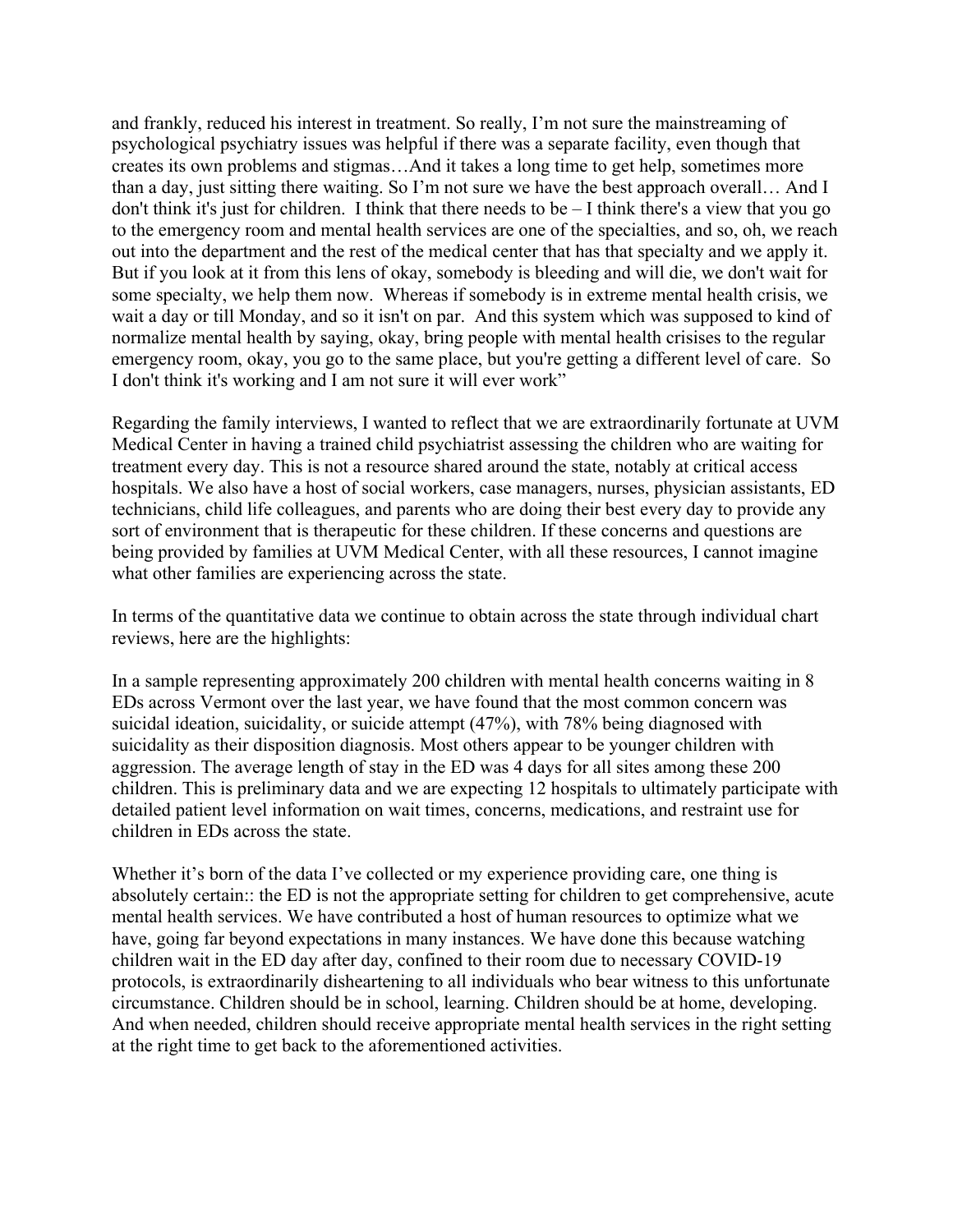and frankly, reduced his interest in treatment. So really, I'm not sure the mainstreaming of psychological psychiatry issues was helpful if there was a separate facility, even though that creates its own problems and stigmas…And it takes a long time to get help, sometimes more than a day, just sitting there waiting. So I'm not sure we have the best approach overall… And I don't think it's just for children. I think that there needs to be – I think there's a view that you go to the emergency room and mental health services are one of the specialties, and so, oh, we reach out into the department and the rest of the medical center that has that specialty and we apply it. But if you look at it from this lens of okay, somebody is bleeding and will die, we don't wait for some specialty, we help them now. Whereas if somebody is in extreme mental health crisis, we wait a day or till Monday, and so it isn't on par. And this system which was supposed to kind of normalize mental health by saying, okay, bring people with mental health crisises to the regular emergency room, okay, you go to the same place, but you're getting a different level of care. So I don't think it's working and I am not sure it will ever work"

Regarding the family interviews, I wanted to reflect that we are extraordinarily fortunate at UVM Medical Center in having a trained child psychiatrist assessing the children who are waiting for treatment every day. This is not a resource shared around the state, notably at critical access hospitals. We also have a host of social workers, case managers, nurses, physician assistants, ED technicians, child life colleagues, and parents who are doing their best every day to provide any sort of environment that is therapeutic for these children. If these concerns and questions are being provided by families at UVM Medical Center, with all these resources, I cannot imagine what other families are experiencing across the state.

In terms of the quantitative data we continue to obtain across the state through individual chart reviews, here are the highlights:

In a sample representing approximately 200 children with mental health concerns waiting in 8 EDs across Vermont over the last year, we have found that the most common concern was suicidal ideation, suicidality, or suicide attempt (47%), with 78% being diagnosed with suicidality as their disposition diagnosis. Most others appear to be younger children with aggression. The average length of stay in the ED was 4 days for all sites among these 200 children. This is preliminary data and we are expecting 12 hospitals to ultimately participate with detailed patient level information on wait times, concerns, medications, and restraint use for children in EDs across the state.

Whether it's born of the data I've collected or my experience providing care, one thing is absolutely certain:: the ED is not the appropriate setting for children to get comprehensive, acute mental health services. We have contributed a host of human resources to optimize what we have, going far beyond expectations in many instances. We have done this because watching children wait in the ED day after day, confined to their room due to necessary COVID-19 protocols, is extraordinarily disheartening to all individuals who bear witness to this unfortunate circumstance. Children should be in school, learning. Children should be at home, developing. And when needed, children should receive appropriate mental health services in the right setting at the right time to get back to the aforementioned activities.